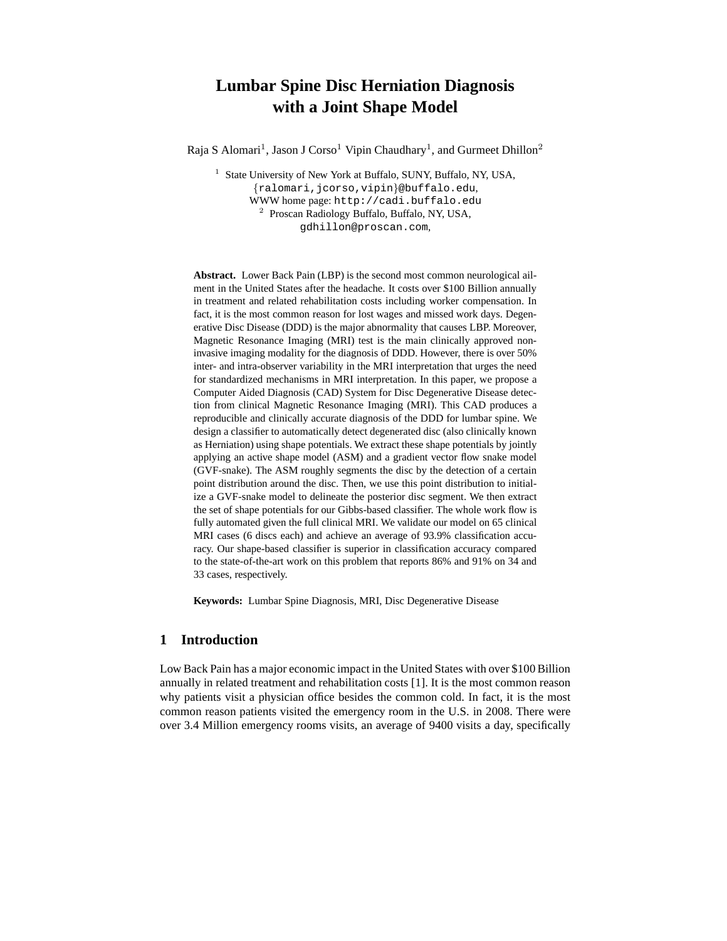# **Lumbar Spine Disc Herniation Diagnosis with a Joint Shape Model**

Raja S Alomari<sup>1</sup>, Jason J Corso<sup>1</sup> Vipin Chaudhary<sup>1</sup>, and Gurmeet Dhillon<sup>2</sup>

<sup>1</sup> State University of New York at Buffalo, SUNY, Buffalo, NY, USA, {ralomari,jcorso,vipin}@buffalo.edu, WWW home page: http://cadi.buffalo.edu 2 Proscan Radiology Buffalo, Buffalo, NY, USA, gdhillon@proscan.com,

**Abstract.** Lower Back Pain (LBP) is the second most common neurological ailment in the United States after the headache. It costs over \$100 Billion annually in treatment and related rehabilitation costs including worker compensation. In fact, it is the most common reason for lost wages and missed work days. Degenerative Disc Disease (DDD) is the major abnormality that causes LBP. Moreover, Magnetic Resonance Imaging (MRI) test is the main clinically approved noninvasive imaging modality for the diagnosis of DDD. However, there is over 50% inter- and intra-observer variability in the MRI interpretation that urges the need for standardized mechanisms in MRI interpretation. In this paper, we propose a Computer Aided Diagnosis (CAD) System for Disc Degenerative Disease detection from clinical Magnetic Resonance Imaging (MRI). This CAD produces a reproducible and clinically accurate diagnosis of the DDD for lumbar spine. We design a classifier to automatically detect degenerated disc (also clinically known as Herniation) using shape potentials. We extract these shape potentials by jointly applying an active shape model (ASM) and a gradient vector flow snake model (GVF-snake). The ASM roughly segments the disc by the detection of a certain point distribution around the disc. Then, we use this point distribution to initialize a GVF-snake model to delineate the posterior disc segment. We then extract the set of shape potentials for our Gibbs-based classifier. The whole work flow is fully automated given the full clinical MRI. We validate our model on 65 clinical MRI cases (6 discs each) and achieve an average of 93.9% classification accuracy. Our shape-based classifier is superior in classification accuracy compared to the state-of-the-art work on this problem that reports 86% and 91% on 34 and 33 cases, respectively.

**Keywords:** Lumbar Spine Diagnosis, MRI, Disc Degenerative Disease

# **1 Introduction**

Low Back Pain has a major economic impact in the United States with over \$100 Billion annually in related treatment and rehabilitation costs [1]. It is the most common reason why patients visit a physician office besides the common cold. In fact, it is the most common reason patients visited the emergency room in the U.S. in 2008. There were over 3.4 Million emergency rooms visits, an average of 9400 visits a day, specifically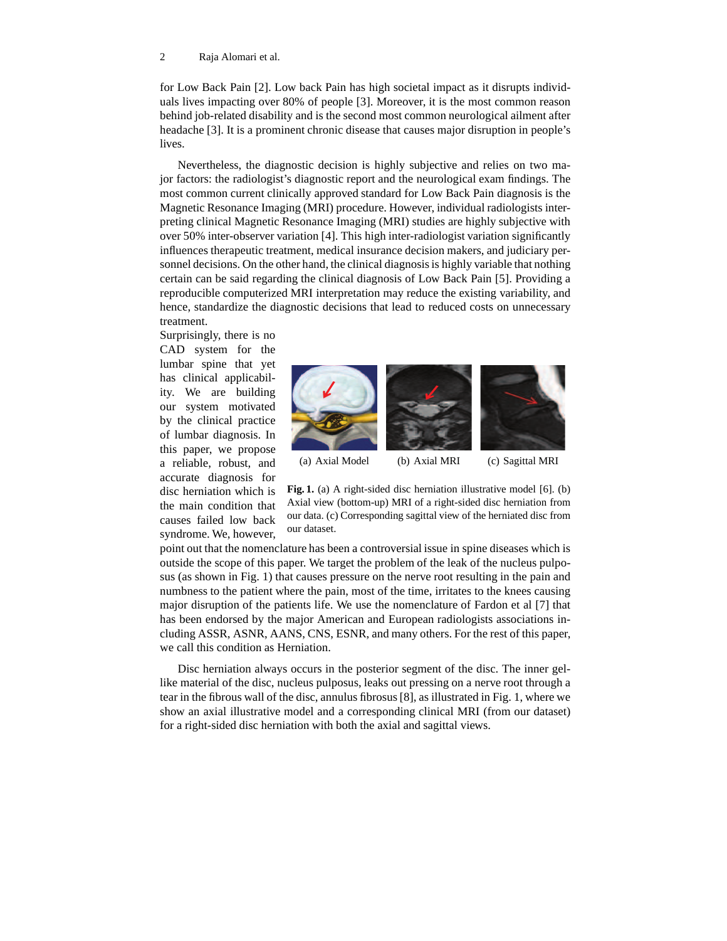#### 2 Raja Alomari et al.

for Low Back Pain [2]. Low back Pain has high societal impact as it disrupts individuals lives impacting over 80% of people [3]. Moreover, it is the most common reason behind job-related disability and is the second most common neurological ailment after headache [3]. It is a prominent chronic disease that causes major disruption in people's lives.

Nevertheless, the diagnostic decision is highly subjective and relies on two major factors: the radiologist's diagnostic report and the neurological exam findings. The most common current clinically approved standard for Low Back Pain diagnosis is the Magnetic Resonance Imaging (MRI) procedure. However, individual radiologists interpreting clinical Magnetic Resonance Imaging (MRI) studies are highly subjective with over 50% inter-observer variation [4]. This high inter-radiologist variation significantly influences therapeutic treatment, medical insurance decision makers, and judiciary personnel decisions. On the other hand, the clinical diagnosisis highly variable that nothing certain can be said regarding the clinical diagnosis of Low Back Pain [5]. Providing a reproducible computerized MRI interpretation may reduce the existing variability, and hence, standardize the diagnostic decisions that lead to reduced costs on unnecessary treatment.

Surprisingly, there is no CAD system for the lumbar spine that yet has clinical applicability. We are building our system motivated by the clinical practice of lumbar diagnosis. In this paper, we propose a reliable, robust, and accurate diagnosis for disc herniation which is the main condition that causes failed low back syndrome. We, however,



**Fig. 1.** (a) A right-sided disc herniation illustrative model [6]. (b) Axial view (bottom-up) MRI of a right-sided disc herniation from our data. (c) Corresponding sagittal view of the herniated disc from our dataset.

point out that the nomenclature has been a controversial issue in spine diseases which is outside the scope of this paper. We target the problem of the leak of the nucleus pulposus (as shown in Fig. 1) that causes pressure on the nerve root resulting in the pain and numbness to the patient where the pain, most of the time, irritates to the knees causing major disruption of the patients life. We use the nomenclature of Fardon et al [7] that has been endorsed by the major American and European radiologists associations including ASSR, ASNR, AANS, CNS, ESNR, and many others. For the rest of this paper, we call this condition as Herniation.

Disc herniation always occurs in the posterior segment of the disc. The inner gellike material of the disc, nucleus pulposus, leaks out pressing on a nerve root through a tear in the fibrous wall of the disc, annulus fibrosus [8], as illustrated in Fig. 1, where we show an axial illustrative model and a corresponding clinical MRI (from our dataset) for a right-sided disc herniation with both the axial and sagittal views.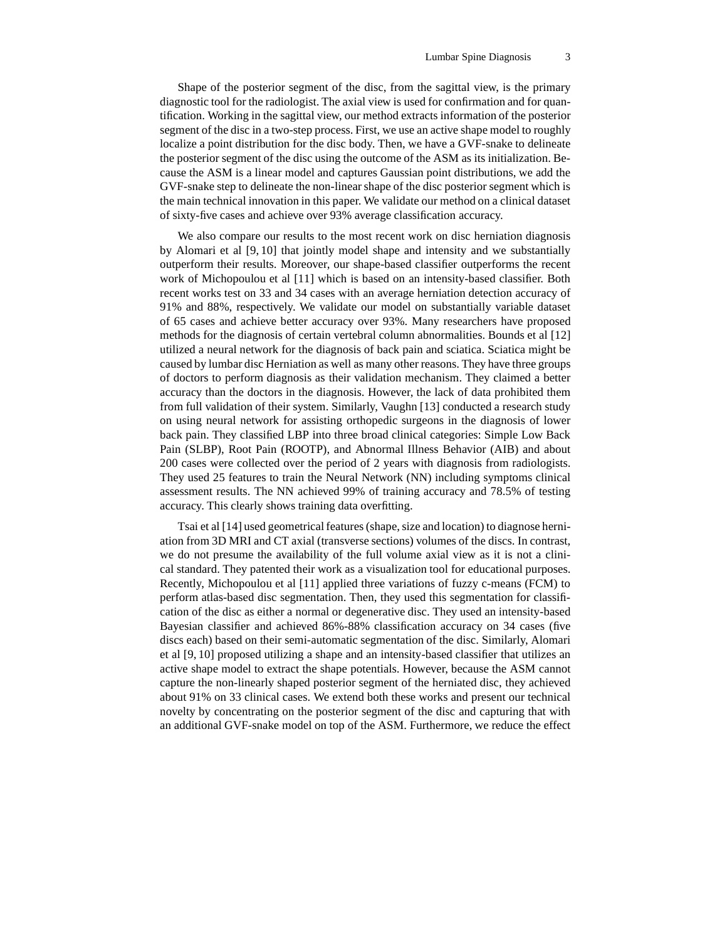Shape of the posterior segment of the disc, from the sagittal view, is the primary diagnostic tool for the radiologist. The axial view is used for confirmation and for quantification. Working in the sagittal view, our method extracts information of the posterior segment of the disc in a two-step process. First, we use an active shape model to roughly localize a point distribution for the disc body. Then, we have a GVF-snake to delineate the posterior segment of the disc using the outcome of the ASM as its initialization. Because the ASM is a linear model and captures Gaussian point distributions, we add the GVF-snake step to delineate the non-linear shape of the disc posterior segment which is the main technical innovation in this paper. We validate our method on a clinical dataset of sixty-five cases and achieve over 93% average classification accuracy.

We also compare our results to the most recent work on disc herniation diagnosis by Alomari et al [9, 10] that jointly model shape and intensity and we substantially outperform their results. Moreover, our shape-based classifier outperforms the recent work of Michopoulou et al [11] which is based on an intensity-based classifier. Both recent works test on 33 and 34 cases with an average herniation detection accuracy of 91% and 88%, respectively. We validate our model on substantially variable dataset of 65 cases and achieve better accuracy over 93%. Many researchers have proposed methods for the diagnosis of certain vertebral column abnormalities. Bounds et al [12] utilized a neural network for the diagnosis of back pain and sciatica. Sciatica might be caused by lumbar disc Herniation as well as many other reasons. They have three groups of doctors to perform diagnosis as their validation mechanism. They claimed a better accuracy than the doctors in the diagnosis. However, the lack of data prohibited them from full validation of their system. Similarly, Vaughn [13] conducted a research study on using neural network for assisting orthopedic surgeons in the diagnosis of lower back pain. They classified LBP into three broad clinical categories: Simple Low Back Pain (SLBP), Root Pain (ROOTP), and Abnormal Illness Behavior (AIB) and about 200 cases were collected over the period of 2 years with diagnosis from radiologists. They used 25 features to train the Neural Network (NN) including symptoms clinical assessment results. The NN achieved 99% of training accuracy and 78.5% of testing accuracy. This clearly shows training data overfitting.

Tsai et al [14] used geometrical features (shape, size and location) to diagnose herniation from 3D MRI and CT axial (transverse sections) volumes of the discs. In contrast, we do not presume the availability of the full volume axial view as it is not a clinical standard. They patented their work as a visualization tool for educational purposes. Recently, Michopoulou et al [11] applied three variations of fuzzy c-means (FCM) to perform atlas-based disc segmentation. Then, they used this segmentation for classification of the disc as either a normal or degenerative disc. They used an intensity-based Bayesian classifier and achieved 86%-88% classification accuracy on 34 cases (five discs each) based on their semi-automatic segmentation of the disc. Similarly, Alomari et al [9, 10] proposed utilizing a shape and an intensity-based classifier that utilizes an active shape model to extract the shape potentials. However, because the ASM cannot capture the non-linearly shaped posterior segment of the herniated disc, they achieved about 91% on 33 clinical cases. We extend both these works and present our technical novelty by concentrating on the posterior segment of the disc and capturing that with an additional GVF-snake model on top of the ASM. Furthermore, we reduce the effect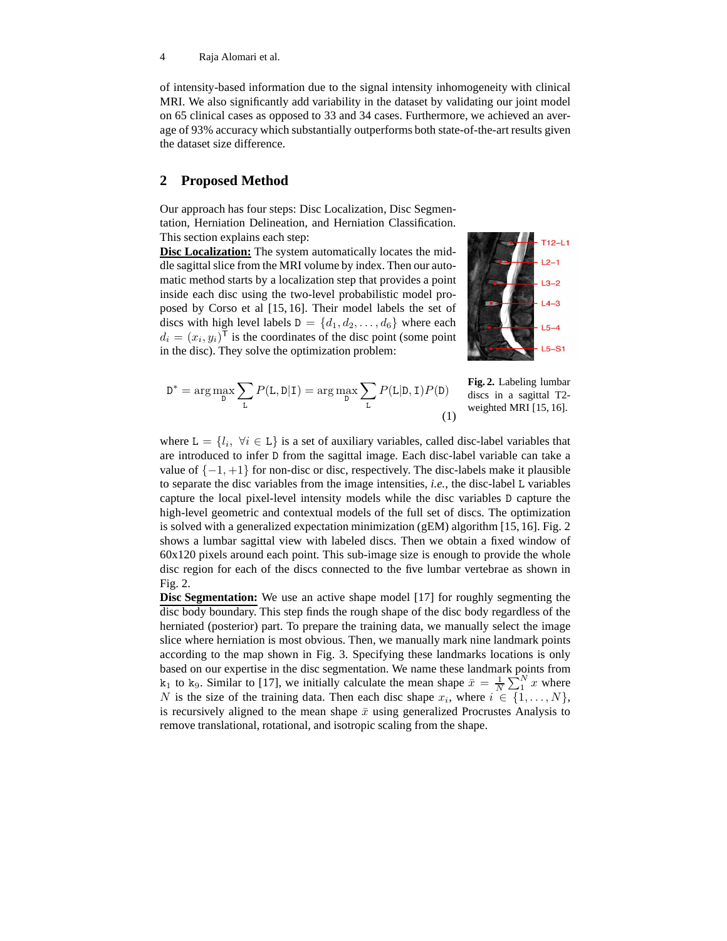4 Raja Alomari et al.

of intensity-based information due to the signal intensity inhomogeneity with clinical MRI. We also significantly add variability in the dataset by validating our joint model on 65 clinical cases as opposed to 33 and 34 cases. Furthermore, we achieved an average of 93% accuracy which substantially outperforms both state-of-the-art results given the dataset size difference.

## **2 Proposed Method**

Our approach has four steps: Disc Localization, Disc Segmentation, Herniation Delineation, and Herniation Classification. This section explains each step:

**Disc Localization:** The system automatically locates the middle sagittal slice from the MRI volume by index. Then our automatic method starts by a localization step that provides a point inside each disc using the two-level probabilistic model proposed by Corso et al [15, 16]. Their model labels the set of discs with high level labels  $D = \{d_1, d_2, \ldots, d_6\}$  where each  $d_i = (x_i, y_i)^\mathsf{T}$  is the coordinates of the disc point (some point in the disc). They solve the optimization problem:



$$
D^* = \arg \max_{D} \sum_{L} P(L, D|I) = \arg \max_{D} \sum_{L} P(L|D, I)P(D)
$$
 **Fig. 2.** Labeling lumbar  
discs in a sagittal T2-  
weighted MRI [15, 16]. (1)

where  $L = \{l_i, \forall i \in L\}$  is a set of auxiliary variables, called disc-label variables that are introduced to infer D from the sagittal image. Each disc-label variable can take a value of  $\{-1, +1\}$  for non-disc or disc, respectively. The disc-labels make it plausible to separate the disc variables from the image intensities, *i.e.*, the disc-label L variables capture the local pixel-level intensity models while the disc variables D capture the high-level geometric and contextual models of the full set of discs. The optimization is solved with a generalized expectation minimization (gEM) algorithm [15, 16]. Fig. 2 shows a lumbar sagittal view with labeled discs. Then we obtain a fixed window of  $60x120$  pixels around each point. This sub-image size is enough to provide the whole disc region for each of the discs connected to the five lumbar vertebrae as shown in Fig. 2.

**Disc Segmentation:** We use an active shape model [17] for roughly segmenting the disc body boundary. This step finds the rough shape of the disc body regardless of the herniated (posterior) part. To prepare the training data, we manually select the image slice where herniation is most obvious. Then, we manually mark nine landmark points according to the map shown in Fig. 3. Specifying these landmarks locations is only based on our expertise in the disc segmentation. We name these landmark points from  $k_1$  to  $k_9$ . Similar to [17], we initially calculate the mean shape  $\bar{x} = \frac{1}{N} \sum_{1}^{N} x$  where N is the size of the training data. Then each disc shape  $x_i$ , where  $i \in \{1, \ldots, N\}$ , is recursively aligned to the mean shape  $\bar{x}$  using generalized Procrustes Analysis to remove translational, rotational, and isotropic scaling from the shape.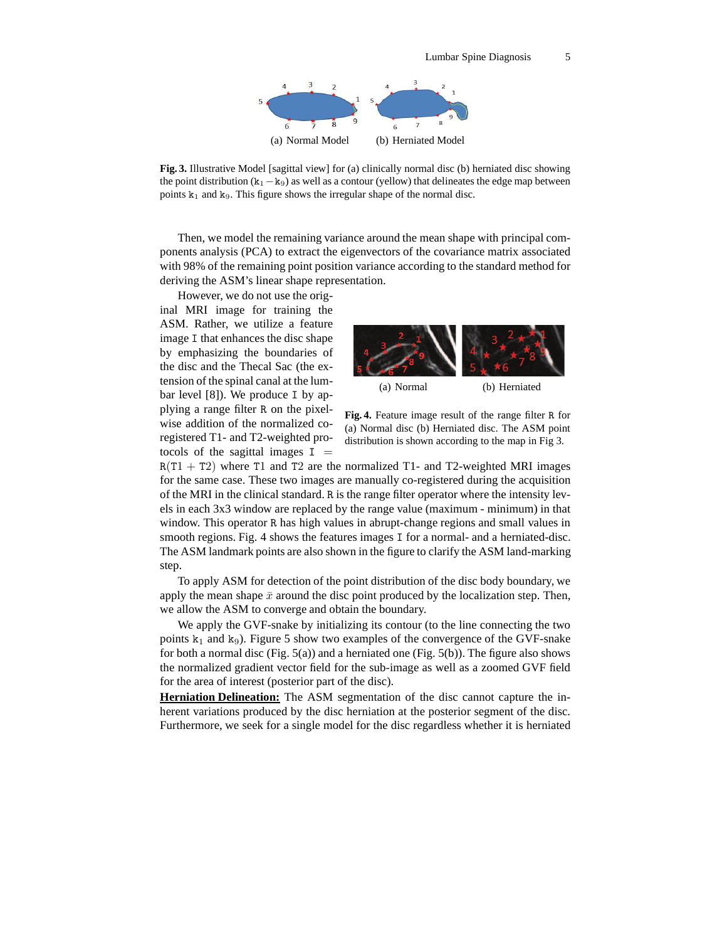

**Fig. 3.** Illustrative Model [sagittal view] for (a) clinically normal disc (b) herniated disc showing the point distribution  $(k_1 - k_9)$  as well as a contour (yellow) that delineates the edge map between points  $k_1$  and  $k_9$ . This figure shows the irregular shape of the normal disc.

Then, we model the remaining variance around the mean shape with principal components analysis (PCA) to extract the eigenvectors of the covariance matrix associated with 98% of the remaining point position variance according to the standard method for deriving the ASM's linear shape representation.

However, we do not use the original MRI image for training the ASM. Rather, we utilize a feature image I that enhances the disc shape by emphasizing the boundaries of the disc and the Thecal Sac (the extension of the spinal canal at the lumbar level [8]). We produce I by applying a range filter R on the pixelwise addition of the normalized coregistered T1- and T2-weighted protocols of the sagittal images  $I =$ 



**Fig. 4.** Feature image result of the range filter R for (a) Normal disc (b) Herniated disc. The ASM point distribution is shown according to the map in Fig 3.

 $R(T1 + T2)$  where T1 and T2 are the normalized T1- and T2-weighted MRI images for the same case. These two images are manually co-registered during the acquisition of the MRI in the clinical standard. R is the range filter operator where the intensity levels in each 3x3 window are replaced by the range value (maximum - minimum) in that window. This operator R has high values in abrupt-change regions and small values in smooth regions. Fig. 4 shows the features images I for a normal- and a herniated-disc. The ASM landmark points are also shown in the figure to clarify the ASM land-marking step.

To apply ASM for detection of the point distribution of the disc body boundary, we apply the mean shape  $\bar{x}$  around the disc point produced by the localization step. Then, we allow the ASM to converge and obtain the boundary.

We apply the GVF-snake by initializing its contour (to the line connecting the two points  $k_1$  and  $k_9$ ). Figure 5 show two examples of the convergence of the GVF-snake for both a normal disc (Fig.  $5(a)$ ) and a herniated one (Fig.  $5(b)$ ). The figure also shows the normalized gradient vector field for the sub-image as well as a zoomed GVF field for the area of interest (posterior part of the disc).

**Herniation Delineation:** The ASM segmentation of the disc cannot capture the inherent variations produced by the disc herniation at the posterior segment of the disc. Furthermore, we seek for a single model for the disc regardless whether it is herniated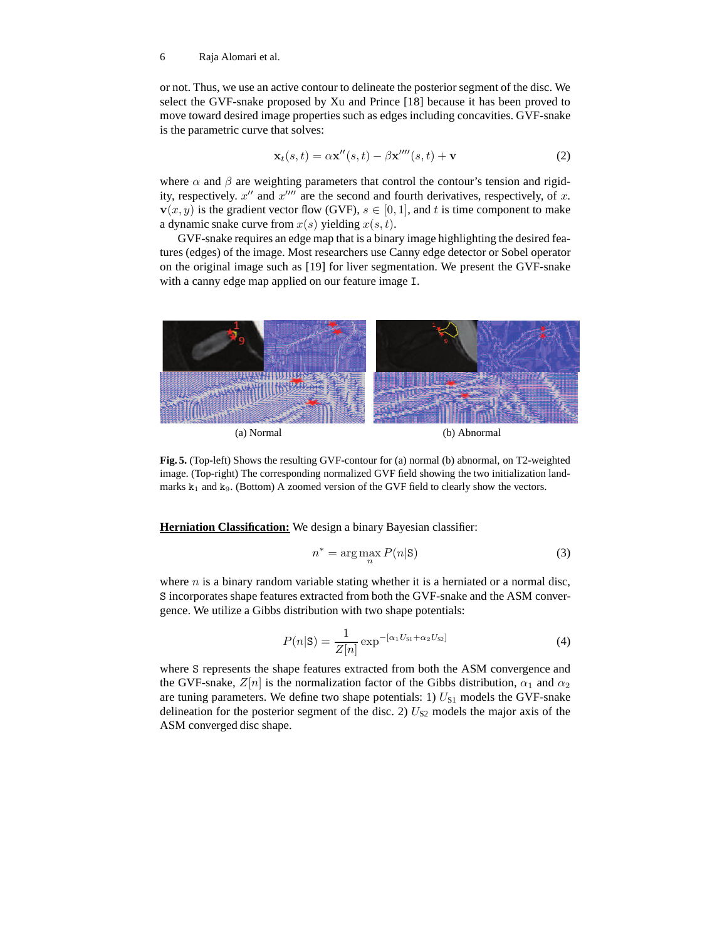#### 6 Raja Alomari et al.

or not. Thus, we use an active contour to delineate the posterior segment of the disc. We select the GVF-snake proposed by Xu and Prince [18] because it has been proved to move toward desired image properties such as edges including concavities. GVF-snake is the parametric curve that solves:

$$
\mathbf{x}_t(s,t) = \alpha \mathbf{x}''(s,t) - \beta \mathbf{x}''''(s,t) + \mathbf{v}
$$
 (2)

where  $\alpha$  and  $\beta$  are weighting parameters that control the contour's tension and rigidity, respectively.  $x''$  and  $x''''$  are the second and fourth derivatives, respectively, of x.  $\mathbf{v}(x, y)$  is the gradient vector flow (GVF),  $s \in [0, 1]$ , and t is time component to make a dynamic snake curve from  $x(s)$  yielding  $x(s, t)$ .

GVF-snake requires an edge map that is a binary image highlighting the desired features (edges) of the image. Most researchers use Canny edge detector or Sobel operator on the original image such as [19] for liver segmentation. We present the GVF-snake with a canny edge map applied on our feature image I.



**Fig. 5.** (Top-left) Shows the resulting GVF-contour for (a) normal (b) abnormal, on T2-weighted image. (Top-right) The corresponding normalized GVF field showing the two initialization landmarks  $k_1$  and  $k_9$ . (Bottom) A zoomed version of the GVF field to clearly show the vectors.

**Herniation Classification:** We design a binary Bayesian classifier:

$$
n^* = \arg\max_{n} P(n|\mathbf{S})
$$
 (3)

where  $n$  is a binary random variable stating whether it is a herniated or a normal disc, S incorporates shape features extracted from both the GVF-snake and the ASM convergence. We utilize a Gibbs distribution with two shape potentials:

$$
P(n|S) = \frac{1}{Z[n]} \exp^{-[\alpha_1 U_{S1} + \alpha_2 U_{S2}]} \tag{4}
$$

where S represents the shape features extracted from both the ASM convergence and the GVF-snake,  $Z[n]$  is the normalization factor of the Gibbs distribution,  $\alpha_1$  and  $\alpha_2$ are tuning parameters. We define two shape potentials: 1)  $U_{S1}$  models the GVF-snake delineation for the posterior segment of the disc. 2)  $U_{S2}$  models the major axis of the ASM converged disc shape.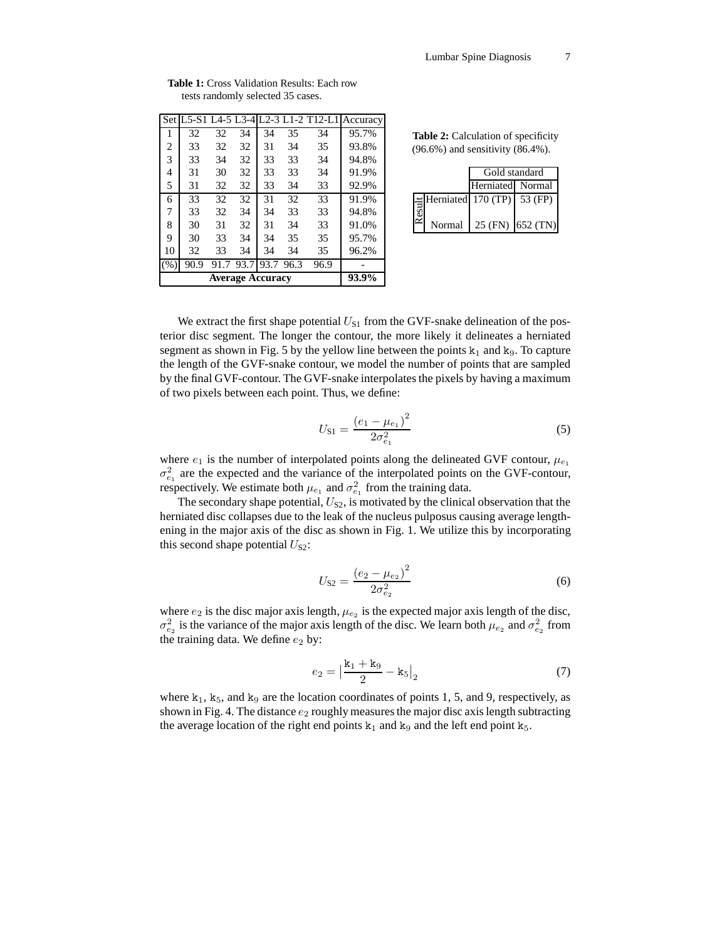|                | 93.9% |      |      |      |      |                                      |          |  |
|----------------|-------|------|------|------|------|--------------------------------------|----------|--|
| (% )           | 90.9  | 91.7 | 93.7 | 93.7 | 96.3 | 96.9                                 |          |  |
| 10             | 32    | 33   | 34   | 34   | 34   | 35                                   | 96.2%    |  |
| 9              | 30    | 33   | 34   | 34   | 35   | 35                                   | 95.7%    |  |
| 8              | 30    | 31   | 32   | 31   | 34   | 33                                   | 91.0%    |  |
| 7              | 33    | 32   | 34   | 34   | 33   | 33                                   | 94.8%    |  |
| 6              | 33    | 32   | 32   | 31   | 32   | 33                                   | 91.9%    |  |
| 5              | 31    | 32   | 32   | 33   | 34   | 33                                   | 92.9%    |  |
| $\overline{4}$ | 31    | 30   | 32   | 33   | 33   | 34                                   | 91.9%    |  |
| 3              | 33    | 34   | 32   | 33   | 33   | 34                                   | 94.8%    |  |
| 2              | 33    | 32   | 32   | 31   | 34   | 35                                   | 93.8%    |  |
| 1              | 32    | 32   | 34   | 34   | 35   | 34                                   | 95.7%    |  |
|                |       |      |      |      |      | Set L5-S1 L4-5 L3-4 L2-3 L1-2 T12-L1 | Accuracy |  |
|                |       |      |      |      |      |                                      |          |  |

**Table 1:** Cross Validation Results: Each row tests randomly selected 35 cases.

Table 2: Calculation of specificity (96.6%) and sensitivity (86.4%).

|        | Gold standard                       |                  |  |  |
|--------|-------------------------------------|------------------|--|--|
|        | Herniated Normal                    |                  |  |  |
|        | $\equiv$ Herniated 170 (TP) 53 (FP) |                  |  |  |
| Normal |                                     | 25 (FN) 652 (TN) |  |  |

We extract the first shape potential  $U_{S1}$  from the GVF-snake delineation of the posterior disc segment. The longer the contour, the more likely it delineates a herniated segment as shown in Fig. 5 by the yellow line between the points  $k_1$  and  $k_9$ . To capture the length of the GVF-snake contour, we model the number of points that are sampled by the final GVF-contour. The GVF-snake interpolates the pixels by having a maximum of two pixels between each point. Thus, we define:

$$
U_{\rm S1} = \frac{\left(e_1 - \mu_{e_1}\right)^2}{2\sigma_{e_1}^2} \tag{5}
$$

where  $e_1$  is the number of interpolated points along the delineated GVF contour,  $\mu_{e_1}$  $\sigma_{e_1}^2$  are the expected and the variance of the interpolated points on the GVF-contour, respectively. We estimate both  $\mu_{e_1}$  and  $\sigma_{e_1}^2$  from the training data.

The secondary shape potential,  $U_{S2}$ , is motivated by the clinical observation that the herniated disc collapses due to the leak of the nucleus pulposus causing average lengthening in the major axis of the disc as shown in Fig. 1. We utilize this by incorporating this second shape potential  $U_{S2}$ :

$$
U_{S2} = \frac{\left(e_2 - \mu_{e_2}\right)^2}{2\sigma_{e_2}^2} \tag{6}
$$

where  $e_2$  is the disc major axis length,  $\mu_{e_2}$  is the expected major axis length of the disc,  $\sigma_{e_2}^2$  is the variance of the major axis length of the disc. We learn both  $\mu_{e_2}$  and  $\sigma_{e_2}^2$  from the training data. We define  $e_2$  by:

$$
e_2 = \left| \frac{\mathbf{k}_1 + \mathbf{k}_9}{2} - \mathbf{k}_5 \right|_2 \tag{7}
$$

where  $k_1$ ,  $k_5$ , and  $k_9$  are the location coordinates of points 1, 5, and 9, respectively, as shown in Fig. 4. The distance  $e_2$  roughly measures the major disc axis length subtracting the average location of the right end points  $k_1$  and  $k_9$  and the left end point  $k_5$ .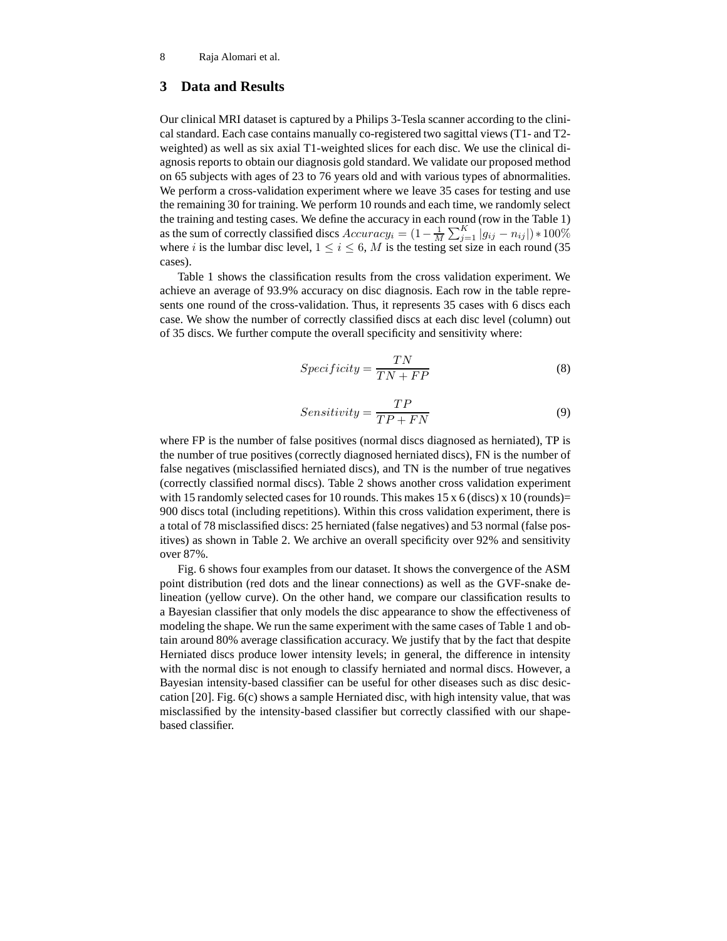## **3 Data and Results**

Our clinical MRI dataset is captured by a Philips 3-Tesla scanner according to the clinical standard. Each case contains manually co-registered two sagittal views (T1- and T2 weighted) as well as six axial T1-weighted slices for each disc. We use the clinical diagnosis reports to obtain our diagnosis gold standard. We validate our proposed method on 65 subjects with ages of 23 to 76 years old and with various types of abnormalities. We perform a cross-validation experiment where we leave 35 cases for testing and use the remaining 30 for training. We perform 10 rounds and each time, we randomly select the training and testing cases. We define the accuracy in each round (row in the Table 1) as the sum of correctly classified discs  $Accuracy_i = (1 - \frac{1}{M} \sum_{j=1}^{K} |g_{ij} - n_{ij}|) * 100\%$ where i is the lumbar disc level,  $1 \le i \le 6$ , M is the testing set size in each round (35) cases).

Table 1 shows the classification results from the cross validation experiment. We achieve an average of 93.9% accuracy on disc diagnosis. Each row in the table represents one round of the cross-validation. Thus, it represents 35 cases with 6 discs each case. We show the number of correctly classified discs at each disc level (column) out of 35 discs. We further compute the overall specificity and sensitivity where:

$$
Specificity = \frac{TN}{TN + FP}
$$
 (8)

$$
Sensitivity = \frac{TP}{TP + FN}
$$
 (9)

where FP is the number of false positives (normal discs diagnosed as herniated), TP is the number of true positives (correctly diagnosed herniated discs), FN is the number of false negatives (misclassified herniated discs), and TN is the number of true negatives (correctly classified normal discs). Table 2 shows another cross validation experiment with 15 randomly selected cases for 10 rounds. This makes 15 x 6 (discs) x 10 (rounds)= 900 discs total (including repetitions). Within this cross validation experiment, there is a total of 78 misclassified discs: 25 herniated (false negatives) and 53 normal (false positives) as shown in Table 2. We archive an overall specificity over 92% and sensitivity over 87%.

Fig. 6 shows four examples from our dataset. It shows the convergence of the ASM point distribution (red dots and the linear connections) as well as the GVF-snake delineation (yellow curve). On the other hand, we compare our classification results to a Bayesian classifier that only models the disc appearance to show the effectiveness of modeling the shape. We run the same experiment with the same cases of Table 1 and obtain around 80% average classification accuracy. We justify that by the fact that despite Herniated discs produce lower intensity levels; in general, the difference in intensity with the normal disc is not enough to classify herniated and normal discs. However, a Bayesian intensity-based classifier can be useful for other diseases such as disc desiccation [20]. Fig. 6(c) shows a sample Herniated disc, with high intensity value, that was misclassified by the intensity-based classifier but correctly classified with our shapebased classifier.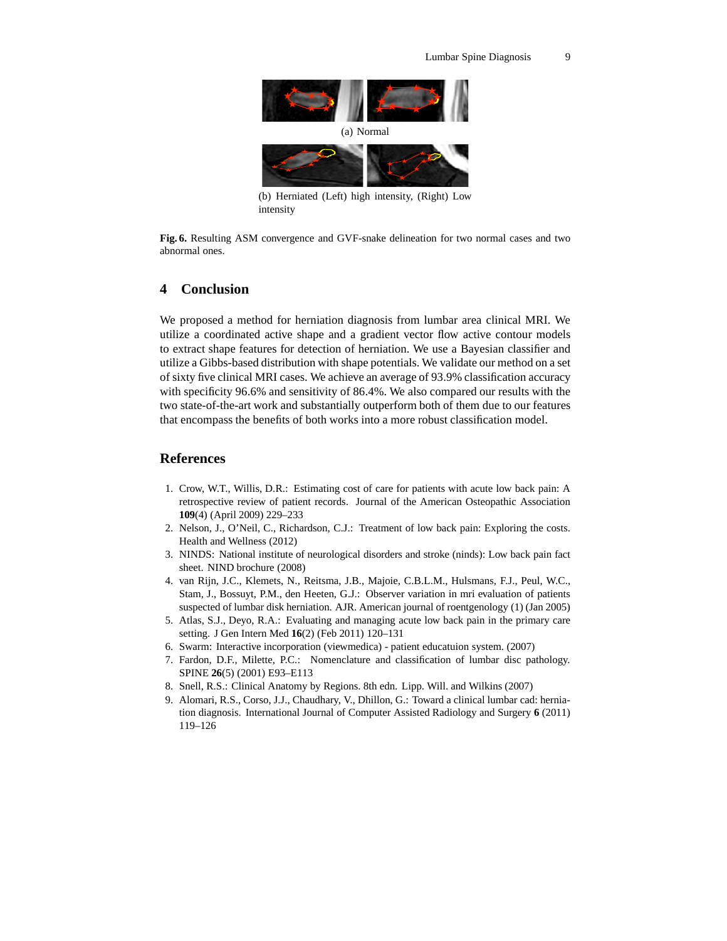

intensity

**Fig. 6.** Resulting ASM convergence and GVF-snake delineation for two normal cases and two abnormal ones.

## **4 Conclusion**

We proposed a method for herniation diagnosis from lumbar area clinical MRI. We utilize a coordinated active shape and a gradient vector flow active contour models to extract shape features for detection of herniation. We use a Bayesian classifier and utilize a Gibbs-based distribution with shape potentials. We validate our method on a set of sixty five clinical MRI cases. We achieve an average of 93.9% classification accuracy with specificity 96.6% and sensitivity of 86.4%. We also compared our results with the two state-of-the-art work and substantially outperform both of them due to our features that encompass the benefits of both works into a more robust classification model.

## **References**

- 1. Crow, W.T., Willis, D.R.: Estimating cost of care for patients with acute low back pain: A retrospective review of patient records. Journal of the American Osteopathic Association **109**(4) (April 2009) 229–233
- 2. Nelson, J., O'Neil, C., Richardson, C.J.: Treatment of low back pain: Exploring the costs. Health and Wellness (2012)
- 3. NINDS: National institute of neurological disorders and stroke (ninds): Low back pain fact sheet. NIND brochure (2008)
- 4. van Rijn, J.C., Klemets, N., Reitsma, J.B., Majoie, C.B.L.M., Hulsmans, F.J., Peul, W.C., Stam, J., Bossuyt, P.M., den Heeten, G.J.: Observer variation in mri evaluation of patients suspected of lumbar disk herniation. AJR. American journal of roentgenology (1) (Jan 2005)
- 5. Atlas, S.J., Deyo, R.A.: Evaluating and managing acute low back pain in the primary care setting. J Gen Intern Med **16**(2) (Feb 2011) 120–131
- 6. Swarm: Interactive incorporation (viewmedica) patient educatuion system. (2007)
- 7. Fardon, D.F., Milette, P.C.: Nomenclature and classification of lumbar disc pathology. SPINE **26**(5) (2001) E93–E113
- 8. Snell, R.S.: Clinical Anatomy by Regions. 8th edn. Lipp. Will. and Wilkins (2007)
- 9. Alomari, R.S., Corso, J.J., Chaudhary, V., Dhillon, G.: Toward a clinical lumbar cad: herniation diagnosis. International Journal of Computer Assisted Radiology and Surgery **6** (2011) 119–126